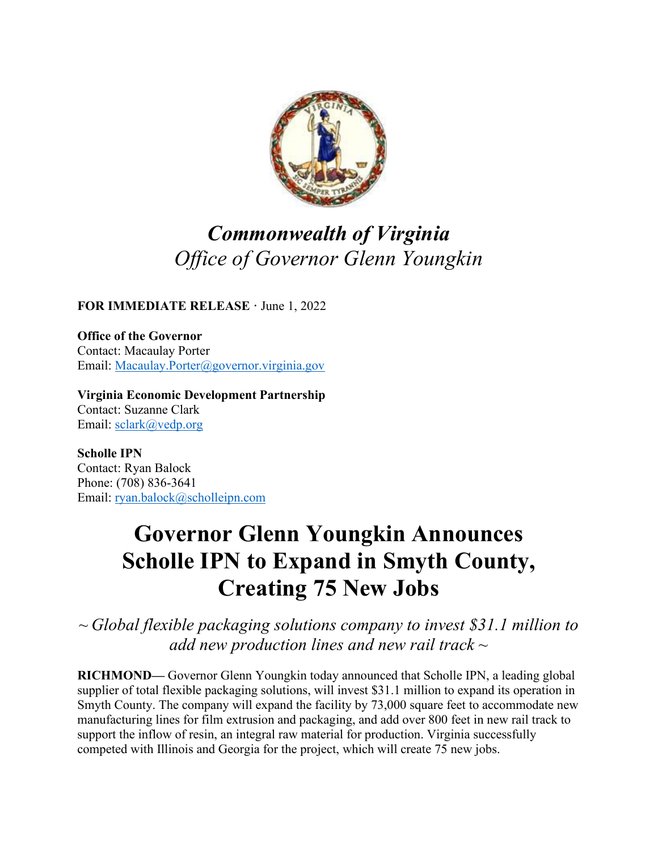

## *Commonwealth of Virginia Office of Governor Glenn Youngkin*

**FOR IMMEDIATE RELEASE ·** June 1, 2022

**Office of the Governor** Contact: Macaulay Porter Email: [Macaulay.Porter@governor.virginia.gov](mailto:Macaulay.Porter@governor.virginia.gov)

**Virginia Economic Development Partnership** Contact: Suzanne Clark Email: sclark@vedp.org

**Scholle IPN** Contact: Ryan Balock Phone: (708) 836-3641 Email: [ryan.balock@scholleipn.com](mailto:ryan.balock@scholleipn.com)

## **Governor Glenn Youngkin Announces Scholle IPN to Expand in Smyth County, Creating 75 New Jobs**

*~ Global flexible packaging solutions company to invest \$31.1 million to add new production lines and new rail track ~*

**RICHMOND—** Governor Glenn Youngkin today announced that Scholle IPN, a leading global supplier of total flexible packaging solutions, will invest \$31.1 million to expand its operation in Smyth County. The company will expand the facility by 73,000 square feet to accommodate new manufacturing lines for film extrusion and packaging, and add over 800 feet in new rail track to support the inflow of resin, an integral raw material for production. Virginia successfully competed with Illinois and Georgia for the project, which will create 75 new jobs.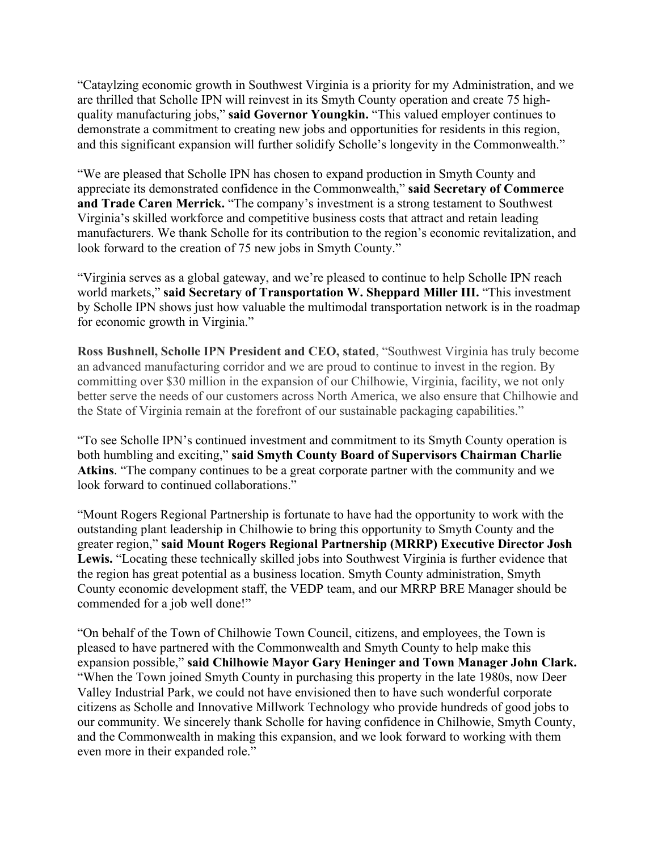"Cataylzing economic growth in Southwest Virginia is a priority for my Administration, and we are thrilled that Scholle IPN will reinvest in its Smyth County operation and create 75 highquality manufacturing jobs," **said Governor Youngkin.** "This valued employer continues to demonstrate a commitment to creating new jobs and opportunities for residents in this region, and this significant expansion will further solidify Scholle's longevity in the Commonwealth."

"We are pleased that Scholle IPN has chosen to expand production in Smyth County and appreciate its demonstrated confidence in the Commonwealth," **said Secretary of Commerce and Trade Caren Merrick.** "The company's investment is a strong testament to Southwest Virginia's skilled workforce and competitive business costs that attract and retain leading manufacturers. We thank Scholle for its contribution to the region's economic revitalization, and look forward to the creation of 75 new jobs in Smyth County."

"Virginia serves as a global gateway, and we're pleased to continue to help Scholle IPN reach world markets," **said Secretary of Transportation W. Sheppard Miller III.** "This investment by Scholle IPN shows just how valuable the multimodal transportation network is in the roadmap for economic growth in Virginia."

**Ross Bushnell, Scholle IPN President and CEO, stated**, "Southwest Virginia has truly become an advanced manufacturing corridor and we are proud to continue to invest in the region. By committing over \$30 million in the expansion of our Chilhowie, Virginia, facility, we not only better serve the needs of our customers across North America, we also ensure that Chilhowie and the State of Virginia remain at the forefront of our sustainable packaging capabilities."

"To see Scholle IPN's continued investment and commitment to its Smyth County operation is both humbling and exciting," **said Smyth County Board of Supervisors Chairman Charlie Atkins**. "The company continues to be a great corporate partner with the community and we look forward to continued collaborations."

"Mount Rogers Regional Partnership is fortunate to have had the opportunity to work with the outstanding plant leadership in Chilhowie to bring this opportunity to Smyth County and the greater region," **said Mount Rogers Regional Partnership (MRRP) Executive Director Josh Lewis.** "Locating these technically skilled jobs into Southwest Virginia is further evidence that the region has great potential as a business location. Smyth County administration, Smyth County economic development staff, the VEDP team, and our MRRP BRE Manager should be commended for a job well done!"

"On behalf of the Town of Chilhowie Town Council, citizens, and employees, the Town is pleased to have partnered with the Commonwealth and Smyth County to help make this expansion possible," **said Chilhowie Mayor Gary Heninger and Town Manager John Clark.** "When the Town joined Smyth County in purchasing this property in the late 1980s, now Deer Valley Industrial Park, we could not have envisioned then to have such wonderful corporate citizens as Scholle and Innovative Millwork Technology who provide hundreds of good jobs to our community. We sincerely thank Scholle for having confidence in Chilhowie, Smyth County, and the Commonwealth in making this expansion, and we look forward to working with them even more in their expanded role."